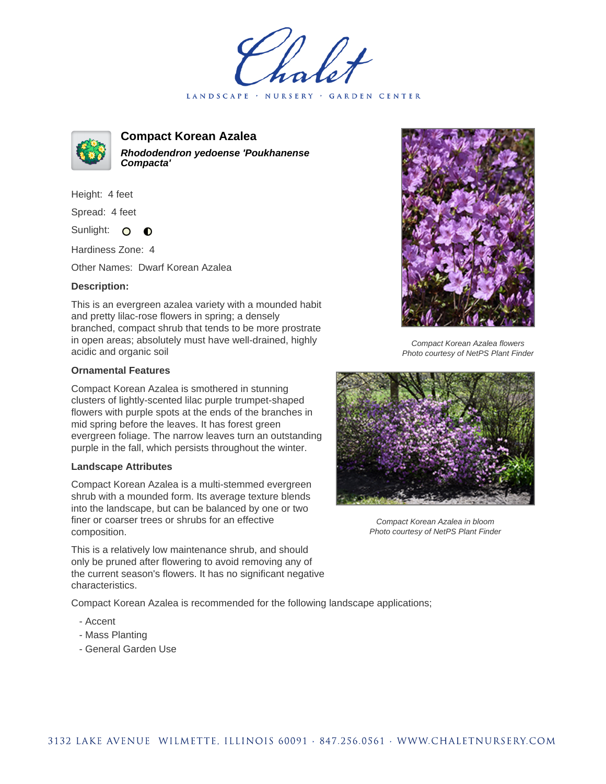LANDSCAPE · NURSERY · GARDEN CENTER



**Compact Korean Azalea Rhododendron yedoense 'Poukhanense Compacta'**

Height: 4 feet

Spread: 4 feet

Sunlight: O  $\bullet$ 

Hardiness Zone: 4

Other Names: Dwarf Korean Azalea

## **Description:**

This is an evergreen azalea variety with a mounded habit and pretty lilac-rose flowers in spring; a densely branched, compact shrub that tends to be more prostrate in open areas; absolutely must have well-drained, highly acidic and organic soil

## **Ornamental Features**

Compact Korean Azalea is smothered in stunning clusters of lightly-scented lilac purple trumpet-shaped flowers with purple spots at the ends of the branches in mid spring before the leaves. It has forest green evergreen foliage. The narrow leaves turn an outstanding purple in the fall, which persists throughout the winter.

## **Landscape Attributes**

Compact Korean Azalea is a multi-stemmed evergreen shrub with a mounded form. Its average texture blends into the landscape, but can be balanced by one or two finer or coarser trees or shrubs for an effective composition.

This is a relatively low maintenance shrub, and should only be pruned after flowering to avoid removing any of the current season's flowers. It has no significant negative characteristics.

Compact Korean Azalea is recommended for the following landscape applications;

- Accent
- Mass Planting
- General Garden Use



Compact Korean Azalea flowers Photo courtesy of NetPS Plant Finder



Compact Korean Azalea in bloom Photo courtesy of NetPS Plant Finder